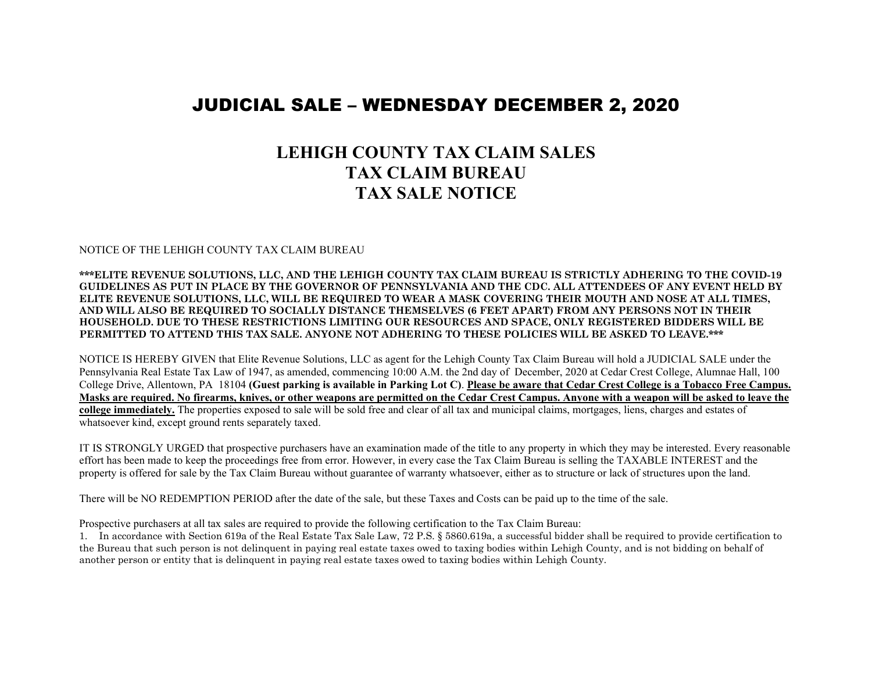## JUDICIAL SALE – WEDNESDAY DECEMBER 2, 2020

## **LEHIGH COUNTY TAX CLAIM SALES TAX CLAIM BUREAU TAX SALE NOTICE**

## NOTICE OF THE LEHIGH COUNTY TAX CLAIM BUREAU

**\*\*\*ELITE REVENUE SOLUTIONS, LLC, AND THE LEHIGH COUNTY TAX CLAIM BUREAU IS STRICTLY ADHERING TO THE COVID-19 GUIDELINES AS PUT IN PLACE BY THE GOVERNOR OF PENNSYLVANIA AND THE CDC. ALL ATTENDEES OF ANY EVENT HELD BY ELITE REVENUE SOLUTIONS, LLC, WILL BE REQUIRED TO WEAR A MASK COVERING THEIR MOUTH AND NOSE AT ALL TIMES, AND WILL ALSO BE REQUIRED TO SOCIALLY DISTANCE THEMSELVES (6 FEET APART) FROM ANY PERSONS NOT IN THEIR HOUSEHOLD. DUE TO THESE RESTRICTIONS LIMITING OUR RESOURCES AND SPACE, ONLY REGISTERED BIDDERS WILL BE PERMITTED TO ATTEND THIS TAX SALE. ANYONE NOT ADHERING TO THESE POLICIES WILL BE ASKED TO LEAVE.\*\*\***

NOTICE IS HEREBY GIVEN that Elite Revenue Solutions, LLC as agent for the Lehigh County Tax Claim Bureau will hold a JUDICIAL SALE under the Pennsylvania Real Estate Tax Law of 1947, as amended, commencing 10:00 A.M. the 2nd day of December, 2020 at Cedar Crest College, Alumnae Hall, 100 College Drive, Allentown, PA 18104 **(Guest parking is available in Parking Lot C)**. **Please be aware that Cedar Crest College is a Tobacco Free Campus. Masks are required. No firearms, knives, or other weapons are permitted on the Cedar Crest Campus. Anyone with a weapon will be asked to leave the college immediately.** The properties exposed to sale will be sold free and clear of all tax and municipal claims, mortgages, liens, charges and estates of whatsoever kind, except ground rents separately taxed.

IT IS STRONGLY URGED that prospective purchasers have an examination made of the title to any property in which they may be interested. Every reasonable effort has been made to keep the proceedings free from error. However, in every case the Tax Claim Bureau is selling the TAXABLE INTEREST and the property is offered for sale by the Tax Claim Bureau without guarantee of warranty whatsoever, either as to structure or lack of structures upon the land.

There will be NO REDEMPTION PERIOD after the date of the sale, but these Taxes and Costs can be paid up to the time of the sale.

Prospective purchasers at all tax sales are required to provide the following certification to the Tax Claim Bureau:

1. In accordance with Section 619a of the Real Estate Tax Sale Law, 72 P.S. § 5860.619a, a successful bidder shall be required to provide certification to the Bureau that such person is not delinquent in paying real estate taxes owed to taxing bodies within Lehigh County, and is not bidding on behalf of another person or entity that is delinquent in paying real estate taxes owed to taxing bodies within Lehigh County.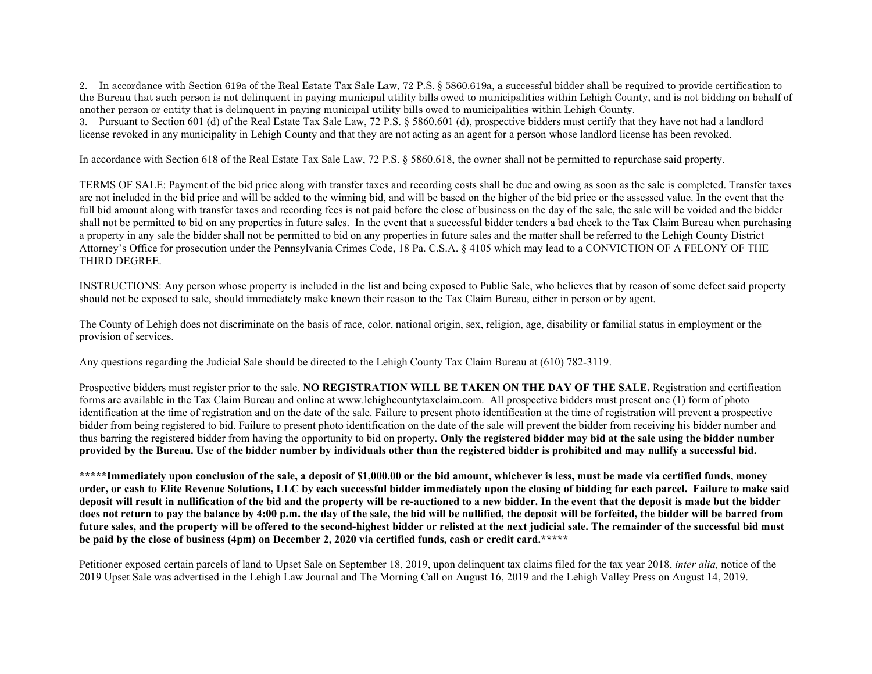2. In accordance with Section 619a of the Real Estate Tax Sale Law, 72 P.S. § 5860.619a, a successful bidder shall be required to provide certification to the Bureau that such person is not delinquent in paying municipal utility bills owed to municipalities within Lehigh County, and is not bidding on behalf of another person or entity that is delinquent in paying municipal utility bills owed to municipalities within Lehigh County.

3. Pursuant to Section 601 (d) of the Real Estate Tax Sale Law, 72 P.S. § 5860.601 (d), prospective bidders must certify that they have not had a landlord license revoked in any municipality in Lehigh County and that they are not acting as an agent for a person whose landlord license has been revoked.

In accordance with Section 618 of the Real Estate Tax Sale Law, 72 P.S. § 5860.618, the owner shall not be permitted to repurchase said property.

TERMS OF SALE: Payment of the bid price along with transfer taxes and recording costs shall be due and owing as soon as the sale is completed. Transfer taxes are not included in the bid price and will be added to the winning bid, and will be based on the higher of the bid price or the assessed value. In the event that the full bid amount along with transfer taxes and recording fees is not paid before the close of business on the day of the sale, the sale will be voided and the bidder shall not be permitted to bid on any properties in future sales. In the event that a successful bidder tenders a bad check to the Tax Claim Bureau when purchasing a property in any sale the bidder shall not be permitted to bid on any properties in future sales and the matter shall be referred to the Lehigh County District Attorney's Office for prosecution under the Pennsylvania Crimes Code, 18 Pa. C.S.A. § 4105 which may lead to a CONVICTION OF A FELONY OF THE THIRD DEGREE.

INSTRUCTIONS: Any person whose property is included in the list and being exposed to Public Sale, who believes that by reason of some defect said property should not be exposed to sale, should immediately make known their reason to the Tax Claim Bureau, either in person or by agent.

The County of Lehigh does not discriminate on the basis of race, color, national origin, sex, religion, age, disability or familial status in employment or the provision of services.

Any questions regarding the Judicial Sale should be directed to the Lehigh County Tax Claim Bureau at (610) 782-3119.

Prospective bidders must register prior to the sale. **NO REGISTRATION WILL BE TAKEN ON THE DAY OF THE SALE.** Registration and certification forms are available in the Tax Claim Bureau and online at www.lehighcountytaxclaim.com. All prospective bidders must present one (1) form of photo identification at the time of registration and on the date of the sale. Failure to present photo identification at the time of registration will prevent a prospective bidder from being registered to bid. Failure to present photo identification on the date of the sale will prevent the bidder from receiving his bidder number and thus barring the registered bidder from having the opportunity to bid on property. **Only the registered bidder may bid at the sale using the bidder number provided by the Bureau. Use of the bidder number by individuals other than the registered bidder is prohibited and may nullify a successful bid.**

**\*\*\*\*\*Immediately upon conclusion of the sale, a deposit of \$1,000.00 or the bid amount, whichever is less, must be made via certified funds, money order, or cash to Elite Revenue Solutions, LLC by each successful bidder immediately upon the closing of bidding for each parcel. Failure to make said deposit will result in nullification of the bid and the property will be re-auctioned to a new bidder. In the event that the deposit is made but the bidder does not return to pay the balance by 4:00 p.m. the day of the sale, the bid will be nullified, the deposit will be forfeited, the bidder will be barred from future sales, and the property will be offered to the second-highest bidder or relisted at the next judicial sale. The remainder of the successful bid must be paid by the close of business (4pm) on December 2, 2020 via certified funds, cash or credit card.\*\*\*\*\***

Petitioner exposed certain parcels of land to Upset Sale on September 18, 2019, upon delinquent tax claims filed for the tax year 2018, *inter alia,* notice of the 2019 Upset Sale was advertised in the Lehigh Law Journal and The Morning Call on August 16, 2019 and the Lehigh Valley Press on August 14, 2019.